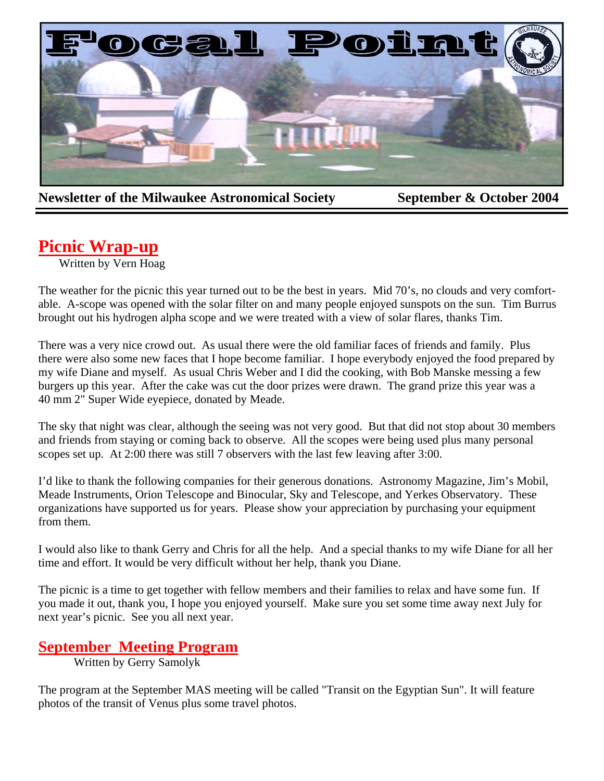

**Newsletter of the Milwaukee Astronomical Society September & October 2004** 

# **Picnic Wrap-up**

Written by Vern Hoag

The weather for the picnic this year turned out to be the best in years. Mid 70's, no clouds and very comfortable. A-scope was opened with the solar filter on and many people enjoyed sunspots on the sun. Tim Burrus brought out his hydrogen alpha scope and we were treated with a view of solar flares, thanks Tim.

There was a very nice crowd out. As usual there were the old familiar faces of friends and family. Plus there were also some new faces that I hope become familiar. I hope everybody enjoyed the food prepared by my wife Diane and myself. As usual Chris Weber and I did the cooking, with Bob Manske messing a few burgers up this year. After the cake was cut the door prizes were drawn. The grand prize this year was a 40 mm 2" Super Wide eyepiece, donated by Meade.

The sky that night was clear, although the seeing was not very good. But that did not stop about 30 members and friends from staying or coming back to observe. All the scopes were being used plus many personal scopes set up. At 2:00 there was still 7 observers with the last few leaving after 3:00.

I'd like to thank the following companies for their generous donations. Astronomy Magazine, Jim's Mobil, Meade Instruments, Orion Telescope and Binocular, Sky and Telescope, and Yerkes Observatory. These organizations have supported us for years. Please show your appreciation by purchasing your equipment from them.

I would also like to thank Gerry and Chris for all the help. And a special thanks to my wife Diane for all her time and effort. It would be very difficult without her help, thank you Diane.

The picnic is a time to get together with fellow members and their families to relax and have some fun. If you made it out, thank you, I hope you enjoyed yourself. Make sure you set some time away next July for next year's picnic. See you all next year.

## **September Meeting Program**

Written by Gerry Samolyk

The program at the September MAS meeting will be called "Transit on the Egyptian Sun". It will feature photos of the transit of Venus plus some travel photos.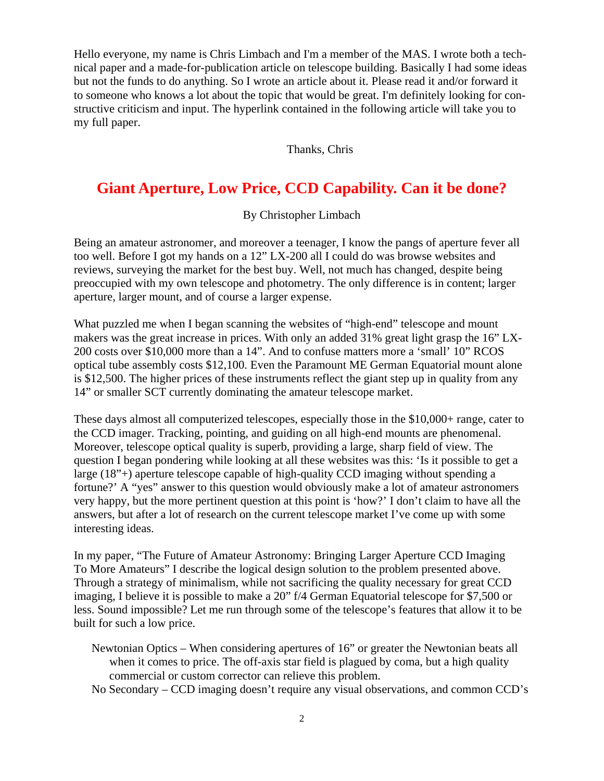Hello everyone, my name is Chris Limbach and I'm a member of the MAS. I wrote both a technical paper and a made-for-publication article on telescope building. Basically I had some ideas but not the funds to do anything. So I wrote an article about it. Please read it and/or forward it to someone who knows a lot about the topic that would be great. I'm definitely looking for constructive criticism and input. The hyperlink contained in the following article will take you to my full paper.

Thanks, Chris

## **Giant Aperture, Low Price, CCD Capability. Can it be done?**

By Christopher Limbach

Being an amateur astronomer, and moreover a teenager, I know the pangs of aperture fever all too well. Before I got my hands on a 12" LX-200 all I could do was browse websites and reviews, surveying the market for the best buy. Well, not much has changed, despite being preoccupied with my own telescope and photometry. The only difference is in content; larger aperture, larger mount, and of course a larger expense.

What puzzled me when I began scanning the websites of "high-end" telescope and mount makers was the great increase in prices. With only an added 31% great light grasp the 16" LX-200 costs over \$10,000 more than a 14". And to confuse matters more a 'small' 10" RCOS optical tube assembly costs \$12,100. Even the Paramount ME German Equatorial mount alone is \$12,500. The higher prices of these instruments reflect the giant step up in quality from any 14" or smaller SCT currently dominating the amateur telescope market.

These days almost all computerized telescopes, especially those in the \$10,000+ range, cater to the CCD imager. Tracking, pointing, and guiding on all high-end mounts are phenomenal. Moreover, telescope optical quality is superb, providing a large, sharp field of view. The question I began pondering while looking at all these websites was this: 'Is it possible to get a large (18"+) aperture telescope capable of high-quality CCD imaging without spending a fortune?' A "yes" answer to this question would obviously make a lot of amateur astronomers very happy, but the more pertinent question at this point is 'how?' I don't claim to have all the answers, but after a lot of research on the current telescope market I've come up with some interesting ideas.

In my paper, "The Future of Amateur Astronomy: Bringing Larger Aperture CCD Imaging To More Amateurs" I describe the logical design solution to the problem presented above. Through a strategy of minimalism, while not sacrificing the quality necessary for great CCD imaging, I believe it is possible to make a 20" f/4 German Equatorial telescope for \$7,500 or less. Sound impossible? Let me run through some of the telescope's features that allow it to be built for such a low price.

Newtonian Optics – When considering apertures of 16" or greater the Newtonian beats all when it comes to price. The off-axis star field is plagued by coma, but a high quality commercial or custom corrector can relieve this problem.

No Secondary – CCD imaging doesn't require any visual observations, and common CCD's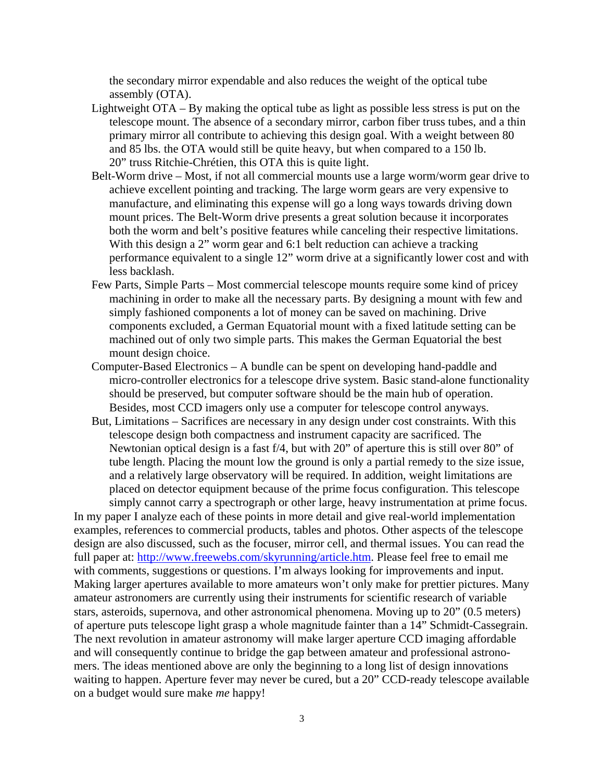the secondary mirror expendable and also reduces the weight of the optical tube assembly (OTA).

- Lightweight OTA By making the optical tube as light as possible less stress is put on the telescope mount. The absence of a secondary mirror, carbon fiber truss tubes, and a thin primary mirror all contribute to achieving this design goal. With a weight between 80 and 85 lbs. the OTA would still be quite heavy, but when compared to a 150 lb. 20" truss Ritchie-Chrétien, this OTA this is quite light.
- Belt-Worm drive Most, if not all commercial mounts use a large worm/worm gear drive to achieve excellent pointing and tracking. The large worm gears are very expensive to manufacture, and eliminating this expense will go a long ways towards driving down mount prices. The Belt-Worm drive presents a great solution because it incorporates both the worm and belt's positive features while canceling their respective limitations. With this design a 2" worm gear and 6:1 belt reduction can achieve a tracking performance equivalent to a single 12" worm drive at a significantly lower cost and with less backlash.
- Few Parts, Simple Parts Most commercial telescope mounts require some kind of pricey machining in order to make all the necessary parts. By designing a mount with few and simply fashioned components a lot of money can be saved on machining. Drive components excluded, a German Equatorial mount with a fixed latitude setting can be machined out of only two simple parts. This makes the German Equatorial the best mount design choice.
- Computer-Based Electronics A bundle can be spent on developing hand-paddle and micro-controller electronics for a telescope drive system. Basic stand-alone functionality should be preserved, but computer software should be the main hub of operation. Besides, most CCD imagers only use a computer for telescope control anyways.
- But, Limitations Sacrifices are necessary in any design under cost constraints. With this telescope design both compactness and instrument capacity are sacrificed. The Newtonian optical design is a fast f/4, but with 20" of aperture this is still over 80" of tube length. Placing the mount low the ground is only a partial remedy to the size issue, and a relatively large observatory will be required. In addition, weight limitations are placed on detector equipment because of the prime focus configuration. This telescope simply cannot carry a spectrograph or other large, heavy instrumentation at prime focus.

In my paper I analyze each of these points in more detail and give real-world implementation examples, references to commercial products, tables and photos. Other aspects of the telescope design are also discussed, such as the focuser, mirror cell, and thermal issues. You can read the full paper at: http://www.freewebs.com/skyrunning/article.htm. Please feel free to email me with comments, suggestions or questions. I'm always looking for improvements and input. Making larger apertures available to more amateurs won't only make for prettier pictures. Many amateur astronomers are currently using their instruments for scientific research of variable stars, asteroids, supernova, and other astronomical phenomena. Moving up to 20" (0.5 meters) of aperture puts telescope light grasp a whole magnitude fainter than a 14" Schmidt-Cassegrain. The next revolution in amateur astronomy will make larger aperture CCD imaging affordable and will consequently continue to bridge the gap between amateur and professional astronomers. The ideas mentioned above are only the beginning to a long list of design innovations waiting to happen. Aperture fever may never be cured, but a 20" CCD-ready telescope available on a budget would sure make *me* happy!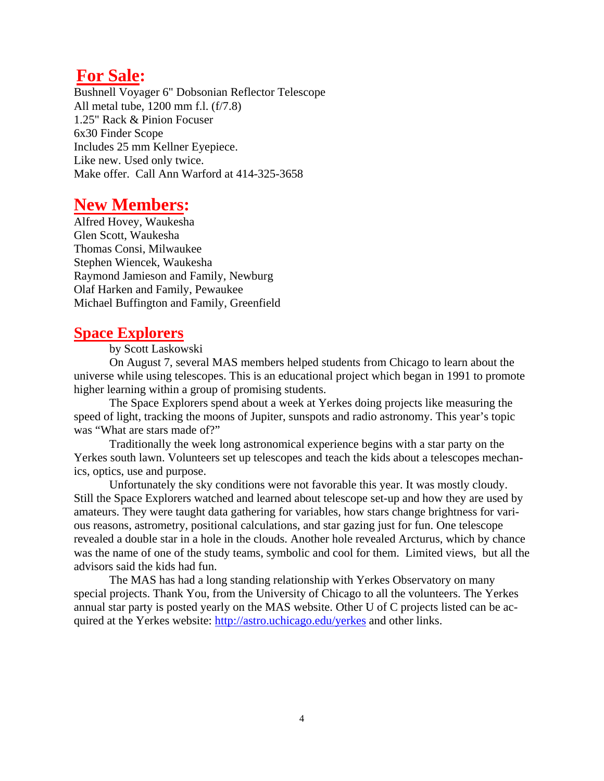## **For Sale:**

Bushnell Voyager 6" Dobsonian Reflector Telescope All metal tube, 1200 mm f.l. (f/7.8) 1.25" Rack & Pinion Focuser 6x30 Finder Scope Includes 25 mm Kellner Eyepiece. Like new. Used only twice. Make offer. Call Ann Warford at 414-325-3658

# **New Members:**

Alfred Hovey, Waukesha Glen Scott, Waukesha Thomas Consi, Milwaukee Stephen Wiencek, Waukesha Raymond Jamieson and Family, Newburg Olaf Harken and Family, Pewaukee Michael Buffington and Family, Greenfield

## **Space Explorers**

by Scott Laskowski

 On August 7, several MAS members helped students from Chicago to learn about the universe while using telescopes. This is an educational project which began in 1991 to promote higher learning within a group of promising students.

 The Space Explorers spend about a week at Yerkes doing projects like measuring the speed of light, tracking the moons of Jupiter, sunspots and radio astronomy. This year's topic was "What are stars made of?"

 Traditionally the week long astronomical experience begins with a star party on the Yerkes south lawn. Volunteers set up telescopes and teach the kids about a telescopes mechanics, optics, use and purpose.

 Unfortunately the sky conditions were not favorable this year. It was mostly cloudy. Still the Space Explorers watched and learned about telescope set-up and how they are used by amateurs. They were taught data gathering for variables, how stars change brightness for various reasons, astrometry, positional calculations, and star gazing just for fun. One telescope revealed a double star in a hole in the clouds. Another hole revealed Arcturus, which by chance was the name of one of the study teams, symbolic and cool for them. Limited views, but all the advisors said the kids had fun.

 The MAS has had a long standing relationship with Yerkes Observatory on many special projects. Thank You, from the University of Chicago to all the volunteers. The Yerkes annual star party is posted yearly on the MAS website. Other U of C projects listed can be acquired at the Yerkes website: http://astro.uchicago.edu/yerkes and other links.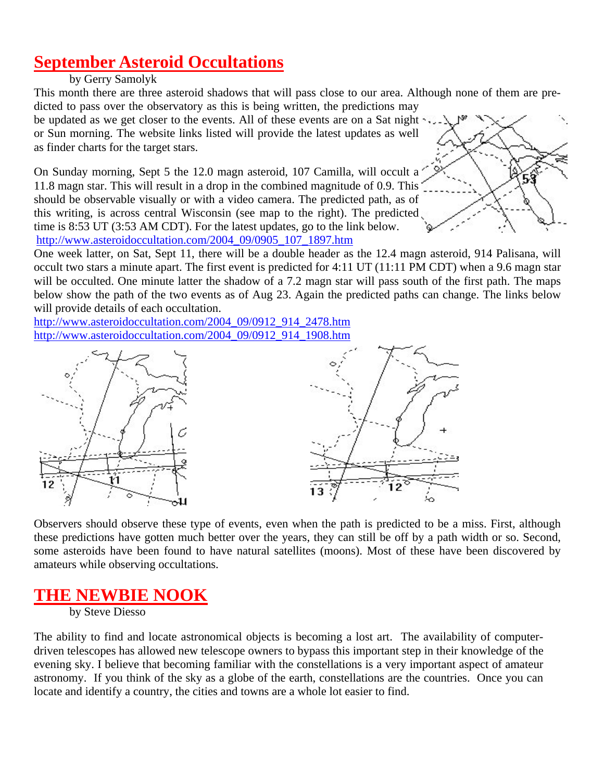# **September Asteroid Occultations**

#### by Gerry Samolyk

This month there are three asteroid shadows that will pass close to our area. Although none of them are predicted to pass over the observatory as this is being written, the predictions may

be updated as we get closer to the events. All of these events are on a Sat night  $\cdot$ ,... or Sun morning. The website links listed will provide the latest updates as well as finder charts for the target stars.

On Sunday morning, Sept 5 the 12.0 magn asteroid, 107 Camilla, will occult a 11.8 magn star. This will result in a drop in the combined magnitude of 0.9. This should be observable visually or with a video camera. The predicted path, as of this writing, is across central Wisconsin (see map to the right). The predicted time is 8:53 UT (3:53 AM CDT). For the latest updates, go to the link below. http://www.asteroidoccultation.com/2004\_09/0905\_107\_1897.htm



One week latter, on Sat, Sept 11, there will be a double header as the 12.4 magn asteroid, 914 Palisana, will occult two stars a minute apart. The first event is predicted for 4:11 UT (11:11 PM CDT) when a 9.6 magn star will be occulted. One minute latter the shadow of a 7.2 magn star will pass south of the first path. The maps below show the path of the two events as of Aug 23. Again the predicted paths can change. The links below will provide details of each occultation.

http://www.asteroidoccultation.com/2004\_09/0912\_914\_2478.htm http://www.asteroidoccultation.com/2004\_09/0912\_914\_1908.htm





Observers should observe these type of events, even when the path is predicted to be a miss. First, although these predictions have gotten much better over the years, they can still be off by a path width or so. Second, some asteroids have been found to have natural satellites (moons). Most of these have been discovered by amateurs while observing occultations.

# **THE NEWBIE NOOK**

by Steve Diesso

The ability to find and locate astronomical objects is becoming a lost art. The availability of computerdriven telescopes has allowed new telescope owners to bypass this important step in their knowledge of the evening sky. I believe that becoming familiar with the constellations is a very important aspect of amateur astronomy. If you think of the sky as a globe of the earth, constellations are the countries. Once you can locate and identify a country, the cities and towns are a whole lot easier to find.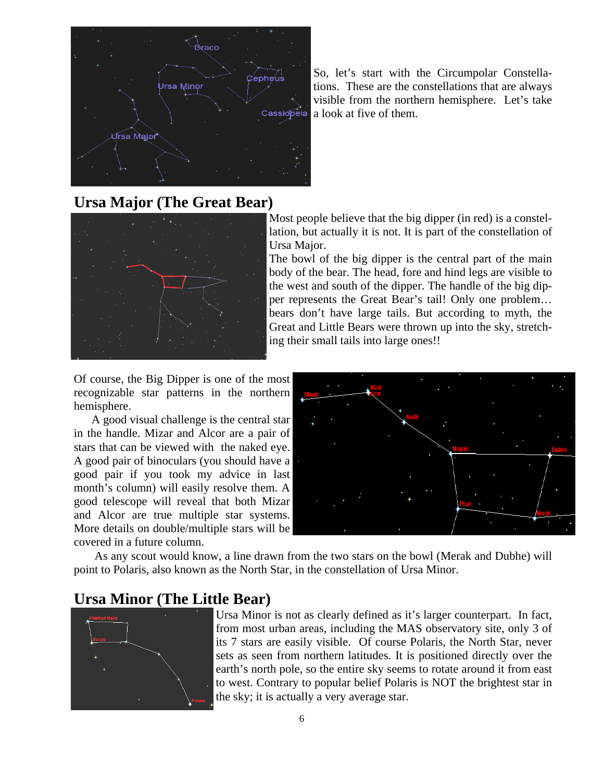

So, let's start with the Circumpolar Constellations. These are the constellations that are always visible from the northern hemisphere. Let's take a look at five of them.

# **Ursa Major (The Great Bear)**



Most people believe that the big dipper (in red) is a constellation, but actually it is not. It is part of the constellation of Ursa Major.

The bowl of the big dipper is the central part of the main body of the bear. The head, fore and hind legs are visible to the west and south of the dipper. The handle of the big dipper represents the Great Bear's tail! Only one problem… bears don't have large tails. But according to myth, the Great and Little Bears were thrown up into the sky, stretching their small tails into large ones!!

Of course, the Big Dipper is one of the most recognizable star patterns in the northern hemisphere.

A good visual challenge is the central star in the handle. Mizar and Alcor are a pair of stars that can be viewed with the naked eye. A good pair of binoculars (you should have a good pair if you took my advice in last month's column) will easily resolve them. A good telescope will reveal that both Mizar and Alcor are true multiple star systems. More details on double/multiple stars will be covered in a future column.



 As any scout would know, a line drawn from the two stars on the bowl (Merak and Dubhe) will point to Polaris, also known as the North Star, in the constellation of Ursa Minor.

## **Ursa Minor (The Little Bear)**



Ursa Minor is not as clearly defined as it's larger counterpart. In fact, from most urban areas, including the MAS observatory site, only 3 of its 7 stars are easily visible. Of course Polaris, the North Star, never sets as seen from northern latitudes. It is positioned directly over the earth's north pole, so the entire sky seems to rotate around it from east to west. Contrary to popular belief Polaris is NOT the brightest star in the sky; it is actually a very average star.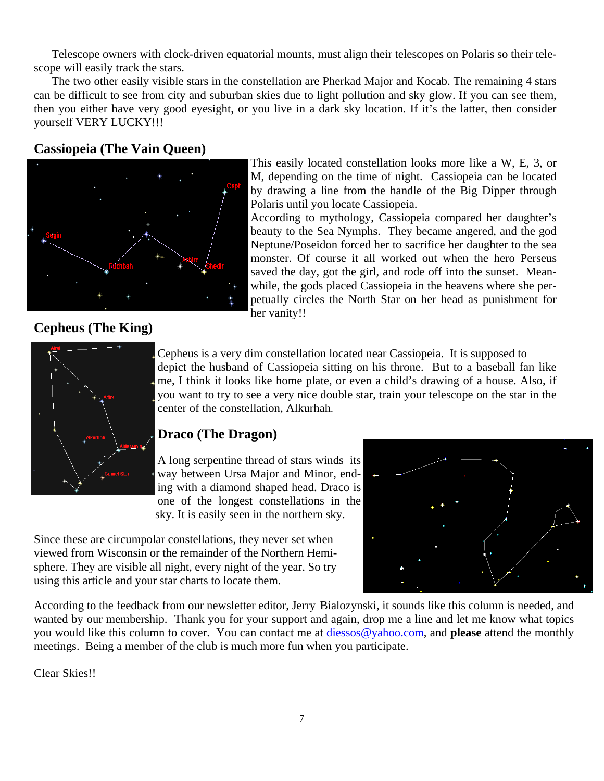Telescope owners with clock-driven equatorial mounts, must align their telescopes on Polaris so their telescope will easily track the stars.

The two other easily visible stars in the constellation are Pherkad Major and Kocab. The remaining 4 stars can be difficult to see from city and suburban skies due to light pollution and sky glow. If you can see them, then you either have very good eyesight, or you live in a dark sky location. If it's the latter, then consider yourself VERY LUCKY!!!

## **Cassiopeia (The Vain Queen)**



This easily located constellation looks more like a W, E, 3, or M, depending on the time of night. Cassiopeia can be located by drawing a line from the handle of the Big Dipper through Polaris until you locate Cassiopeia.

According to mythology, Cassiopeia compared her daughter's beauty to the Sea Nymphs. They became angered, and the god Neptune/Poseidon forced her to sacrifice her daughter to the sea monster. Of course it all worked out when the hero Perseus saved the day, got the girl, and rode off into the sunset. Meanwhile, the gods placed Cassiopeia in the heavens where she perpetually circles the North Star on her head as punishment for her vanity!!

### **Cepheus (The King)**



Cepheus is a very dim constellation located near Cassiopeia. It is supposed to depict the husband of Cassiopeia sitting on his throne. But to a baseball fan like me, I think it looks like home plate, or even a child's drawing of a house. Also, if you want to try to see a very nice double star, train your telescope on the star in the center of the constellation, Alkurhah.

## **Draco (The Dragon)**

A long serpentine thread of stars winds its way between Ursa Major and Minor, ending with a diamond shaped head. Draco is one of the longest constellations in the sky. It is easily seen in the northern sky.

Since these are circumpolar constellations, they never set when viewed from Wisconsin or the remainder of the Northern Hemisphere. They are visible all night, every night of the year. So try using this article and your star charts to locate them.



According to the feedback from our newsletter editor, Jerry Bialozynski, it sounds like this column is needed, and wanted by our membership. Thank you for your support and again, drop me a line and let me know what topics you would like this column to cover. You can contact me at diessos@yahoo.com, and **please** attend the monthly meetings. Being a member of the club is much more fun when you participate.

Clear Skies!!